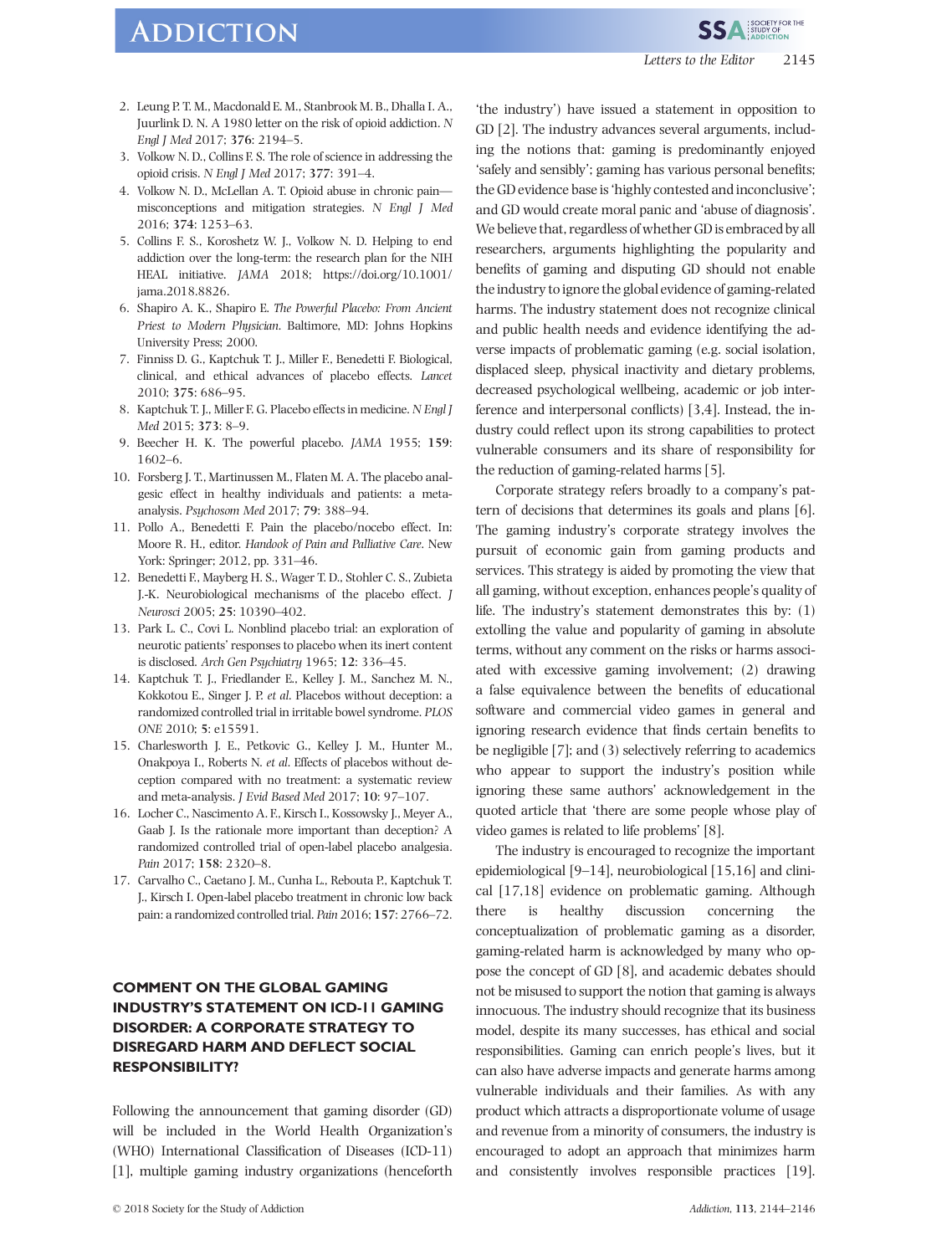# **ADDICTION**

**SSA SOCIETY FOR THE** 

- 2. Leung P. T. M., Macdonald E. M., Stanbrook M. B., Dhalla I. A., Juurlink D. N. A 1980 letter on the risk of opioid addiction. N Engl J Med 2017; 376: 2194–5.
- 3. Volkow N. D., Collins F. S. The role of science in addressing the opioid crisis. N Engl J Med 2017; 377: 391–4.
- 4. Volkow N. D., McLellan A. T. Opioid abuse in chronic pain misconceptions and mitigation strategies. N Engl J Med 2016; 374: 1253–63.
- 5. Collins F. S., Koroshetz W. J., Volkow N. D. Helping to end addiction over the long-term: the research plan for the NIH HEAL initiative. JAMA 2018; [https://doi.org/10.1001/](https://icd.who.int/browse11/l-m/en#/http://id.who.int/icd/entity/1448597234) [jama.2018.8826](https://icd.who.int/browse11/l-m/en#/http://id.who.int/icd/entity/1448597234).
- 6. Shapiro A. K., Shapiro E. The Powerful Placebo: From Ancient Priest to Modern Physician. Baltimore, MD: Johns Hopkins University Press; 2000.
- 7. Finniss D. G., Kaptchuk T. J., Miller F., Benedetti F. Biological, clinical, and ethical advances of placebo effects. Lancet 2010; 375: 686–95.
- 8. Kaptchuk T. J., Miller F. G. Placebo effects in medicine. N Engl J Med 2015; 373: 8–9.
- 9. Beecher H. K. The powerful placebo. JAMA 1955; 159: 1602–6.
- 10. Forsberg J. T., Martinussen M., Flaten M. A. The placebo analgesic effect in healthy individuals and patients: a metaanalysis. Psychosom Med 2017; 79: 388–94.
- 11. Pollo A., Benedetti F. Pain the placebo/nocebo effect. In: Moore R. H., editor. Handook of Pain and Palliative Care. New York: Springer; 2012, pp. 331–46.
- 12. Benedetti F., Mayberg H. S., Wager T. D., Stohler C. S., Zubieta J.-K. Neurobiological mechanisms of the placebo effect. J Neurosci 2005; 25: 10390–402.
- 13. Park L. C., Covi L. Nonblind placebo trial: an exploration of neurotic patients' responses to placebo when its inert content is disclosed. Arch Gen Psychiatry 1965; 12: 336–45.
- 14. Kaptchuk T. J., Friedlander E., Kelley J. M., Sanchez M. N., Kokkotou E., Singer J. P. et al. Placebos without deception: a randomized controlled trial in irritable bowel syndrome. PLOS ONE 2010; 5: e15591.
- 15. Charlesworth J. E., Petkovic G., Kelley J. M., Hunter M., Onakpoya I., Roberts N. et al. Effects of placebos without deception compared with no treatment: a systematic review and meta-analysis. J Evid Based Med 2017; 10: 97–107.
- 16. Locher C., Nascimento A. F., Kirsch I., Kossowsky J., Meyer A., Gaab J. Is the rationale more important than deception? A randomized controlled trial of open-label placebo analgesia. Pain 2017; 158: 2320–8.
- 17. Carvalho C., Caetano J. M., Cunha L., Rebouta P., Kaptchuk T. J., Kirsch I. Open-label placebo treatment in chronic low back pain: a randomized controlled trial. Pain 2016; 157: 2766–72.

# COMMENT ON THE GLOBAL GAMING INDUSTRY'S STATEMENT ON ICD-11 GAMING DISORDER: A CORPORATE STRATEGY TO DISREGARD HARM AND DEFLECT SOCIAL RESPONSIBILITY?

Following the announcement that gaming disorder (GD) will be included in the World Health Organization's (WHO) International Classification of Diseases (ICD-11) [1], multiple gaming industry organizations (henceforth 'the industry') have issued a statement in opposition to GD [2]. The industry advances several arguments, including the notions that: gaming is predominantly enjoyed 'safely and sensibly'; gaming has various personal benefits; the GD evidence base is'highly contested and inconclusive'; and GD would create moral panic and 'abuse of diagnosis'. We believe that, regardless of whether GD is embraced by all researchers, arguments highlighting the popularity and benefits of gaming and disputing GD should not enable the industry to ignore the global evidence of gaming-related harms. The industry statement does not recognize clinical and public health needs and evidence identifying the adverse impacts of problematic gaming (e.g. social isolation, displaced sleep, physical inactivity and dietary problems, decreased psychological wellbeing, academic or job interference and interpersonal conflicts) [3,4]. Instead, the industry could reflect upon its strong capabilities to protect vulnerable consumers and its share of responsibility for the reduction of gaming-related harms [5].

Corporate strategy refers broadly to a company's pattern of decisions that determines its goals and plans [6]. The gaming industry's corporate strategy involves the pursuit of economic gain from gaming products and services. This strategy is aided by promoting the view that all gaming, without exception, enhances people's quality of life. The industry's statement demonstrates this by: (1) extolling the value and popularity of gaming in absolute terms, without any comment on the risks or harms associated with excessive gaming involvement; (2) drawing a false equivalence between the benefits of educational software and commercial video games in general and ignoring research evidence that finds certain benefits to be negligible [7]; and (3) selectively referring to academics who appear to support the industry's position while ignoring these same authors' acknowledgement in the quoted article that 'there are some people whose play of video games is related to life problems' [8].

The industry is encouraged to recognize the important epidemiological [9–14], neurobiological [15,16] and clinical [17,18] evidence on problematic gaming. Although there is healthy discussion concerning the conceptualization of problematic gaming as a disorder, gaming-related harm is acknowledged by many who oppose the concept of GD [8], and academic debates should not be misused to support the notion that gaming is always innocuous. The industry should recognize that its business model, despite its many successes, has ethical and social responsibilities. Gaming can enrich people's lives, but it can also have adverse impacts and generate harms among vulnerable individuals and their families. As with any product which attracts a disproportionate volume of usage and revenue from a minority of consumers, the industry is encouraged to adopt an approach that minimizes harm and consistently involves responsible practices [19].